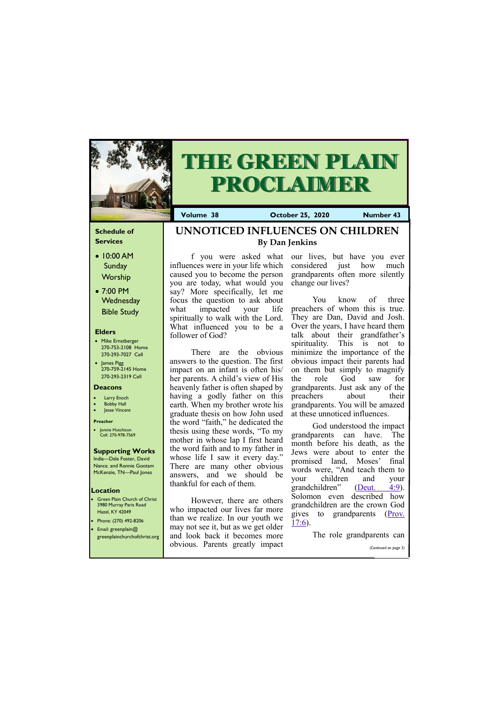### **Schedule of Services**

- 10:00 AM Sunday Worship
- 7:00 PM **Wednesday** Bible Study

#### **Elders**

- Mike Ernstberger 270-753-2108 Home 270-293-7027 Cell
- James Pigg 270-759-2145 Home 270-293-2319 Cell

- **Green Plain Church of Christ** 3980 Murray Paris Road Hazel, KY 42049 • Phone: (270) 492-8206
- Email: greenplain@

#### **Location**



# **THE GREEN PLAIN PROCLAIMER**

**Volume 38 October 25, 2020 Number 43**

#### **Deacons**

- **Larry Enoch**
- **Bobby Hall**
- **Jesse Vincent**

#### **Preacher**

• Jonnie Hutchison Cell: 270-978-7569

## **Supporting Works**

India—Dale Foster, David Nance. and Ronnie Gootam McKenzie, TN—Paul Jones

influences were in your life which caused you to become the person you are today, what would you say? More specifically, let me focus the question to ask about what impacted your life spiritually to walk with the Lord. What influenced you to be a follower of God?

There are the obvious answers to the question. The first impact on an infant is often his/ her parents. A child's view of His heavenly father is often shaped by having a godly father on this earth. When my brother wrote his graduate thesis on how John used the word "faith," he dedicated the thesis using these words, "To my mother in whose lap I first heard the word faith and to my father in whose life I saw it every day." There are many other obvious answers, and we should be thankful for each of them.

f you were asked what our lives, but have you ever considered just how much grandparents often more silently change our lives?

| greenplainchurchofchrist.org and look back it becomes more | The role grandparents can |
|------------------------------------------------------------|---------------------------|
| obvious. Parents greatly impact                            | (Continued on page 3)     |

However, there are others who impacted our lives far more than we realize. In our youth we may not see it, but as we get older

You know of three preachers of whom this is true. They are Dan, David and Josh. Over the years, I have heard them talk about their grandfather's spirituality. This is not to minimize the importance of the obvious impact their parents had on them but simply to magnify the role God saw for grandparents. Just ask any of the preachers about their grandparents. You will be amazed at these unnoticed influences.

God understood the impact grandparents can have. The month before his death, as the Jews were about to enter the promised land, Moses' final words were, "And teach them to your children and your grandchildren" ([Deut. 4:9\).](https://biblia.com/bible/esv/Deut.%204.9) Solomon even described how grandchildren are the crown God gives to grandparents [\(Prov.](https://biblia.com/bible/esv/Prov.%2017.6)  [17:6\)](https://biblia.com/bible/esv/Prov.%2017.6).

# **UNNOTICED INFLUENCES ON CHILDREN By Dan Jenkins**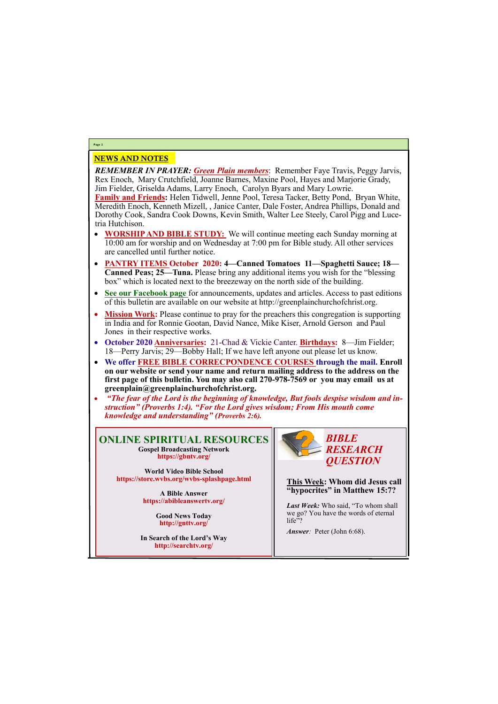## NEWS AND NOTES

*REMEMBER IN PRAYER: Green Plain members*: Remember Faye Travis, Peggy Jarvis, Rex Enoch, Mary Crutchfield, Joanne Barnes, Maxine Pool, Hayes and Marjorie Grady, Jim Fielder, Griselda Adams, Larry Enoch, Carolyn Byars and Mary Lowrie.

**Family and Friends:** Helen Tidwell, Jenne Pool, Teresa Tacker, Betty Pond, Bryan White, Meredith Enoch, Kenneth Mizell, , Janice Canter, Dale Foster, Andrea Phillips, Donald and Dorothy Cook, Sandra Cook Downs, Kevin Smith, Walter Lee Steely, Carol Pigg and Lucetria Hutchison.

> *Last Week:* Who said, "To whom shall we go? You have the words of eternal life"?

- **WORSHIP AND BIBLE STUDY:** We will continue meeting each Sunday morning at 10:00 am for worship and on Wednesday at 7:00 pm for Bible study. All other services are cancelled until further notice.
- **PANTRY ITEMS October 2020: 4—Canned Tomatoes 11—Spaghetti Sauce; 18— Canned Peas; 25—Tuna.** Please bring any additional items you wish for the "blessing box" which is located next to the breezeway on the north side of the building.
- **See our Facebook page** for announcements, updates and articles. Access to past editions of this bulletin are available on our website at http://greenplainchurchofchrist.org.
- **Mission Work:** Please continue to pray for the preachers this congregation is supporting in India and for Ronnie Gootan, David Nance, Mike Kiser, Arnold Gerson and Paul Jones in their respective works.
- **October 2020 Anniversaries:** 21-Chad & Vickie Canter. **Birthdays:** 8—Jim Fielder; 18—Perry Jarvis; 29—Bobby Hall; If we have left anyone out please let us know.
- **We offer FREE BIBLE CORRECPONDENCE COURSES through the mail. Enroll on our website or send your name and return mailing address to the address on the first page of this bulletin. You may also call 270-978-7569 or you may email us at greenplain@greenplainchurchofchrist.org.**
- *"The fear of the Lord is the beginning of knowledge, But fools despise wisdom and instruction" (Proverbs 1:4). "For the Lord gives wisdom; From His mouth come knowledge and understanding" (Proverbs 2:6).*

#### **Page 2**

**ONLINE SPIRITUAL RESOURCES Gospel Broadcasting Network https://gbntv.org/**

**World Video Bible School https://store.wvbs.org/wvbs-splashpage.html**

> **A Bible Answer https://abibleanswertv.org/**

> > **Good News Today http://gnttv.org/**

**In Search of the Lord's Way http://searchtv.org/**



**This Week: Whom did Jesus call "hypocrites" in Matthew 15:7?**

*Answer:* Peter (John 6:68).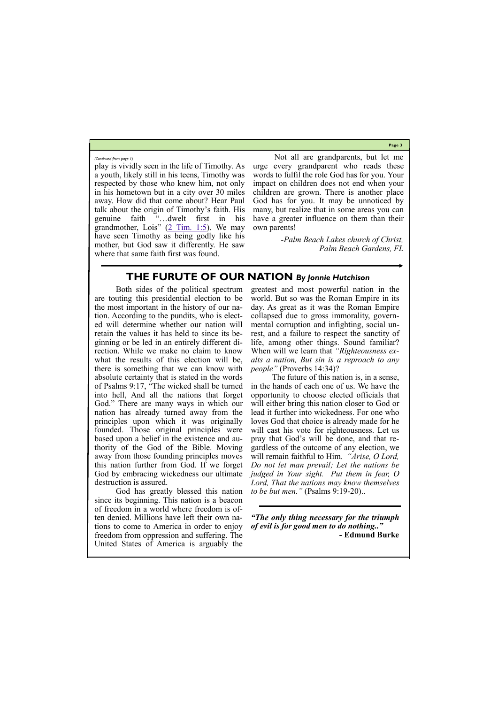**Page 3**

play is vividly seen in the life of Timothy. As a youth, likely still in his teens, Timothy was respected by those who knew him, not only in his hometown but in a city over 30 miles away. How did that come about? Hear Paul talk about the origin of Timothy's faith. His genuine faith "…dwelt first in his grandmother, Lois"  $(2 \text{ Tim. } 1:5)$ . We may have seen Timothy as being godly like his mother, but God saw it differently. He saw where that same faith first was found.

Not all are grandparents, but let me urge every grandparent who reads these words to fulfil the role God has for you. Your impact on children does not end when your children are grown. There is another place God has for you. It may be unnoticed by many, but realize that in some areas you can have a greater influence on them than their own parents!

> *-Palm Beach Lakes church of Christ, Palm Beach Gardens, FL*

*(Continued from page 1)*

# **THE FURUTE OF OUR NATION** *By Jonnie Hutchison*

Both sides of the political spectrum are touting this presidential election to be the most important in the history of our nation. According to the pundits, who is elected will determine whether our nation will retain the values it has held to since its beginning or be led in an entirely different direction. While we make no claim to know what the results of this election will be, there is something that we can know with absolute certainty that is stated in the words of Psalms 9:17, "The wicked shall be turned into hell, And all the nations that forget God." There are many ways in which our nation has already turned away from the principles upon which it was originally founded. Those original principles were based upon a belief in the existence and authority of the God of the Bible. Moving away from those founding principles moves this nation further from God. If we forget God by embracing wickedness our ultimate destruction is assured.

God has greatly blessed this nation since its beginning. This nation is a beacon of freedom in a world where freedom is often denied. Millions have left their own nations to come to America in order to enjoy

freedom from oppression and suffering. The United States of America is arguably the greatest and most powerful nation in the world. But so was the Roman Empire in its day. As great as it was the Roman Empire collapsed due to gross immorality, governmental corruption and infighting, social unrest, and a failure to respect the sanctity of life, among other things. Sound familiar? When will we learn that *"Righteousness exalts a nation, But sin is a reproach to any people"* (Proverbs 14:34)?

The future of this nation is, in a sense, in the hands of each one of us. We have the opportunity to choose elected officials that will either bring this nation closer to God or lead it further into wickedness. For one who loves God that choice is already made for he will cast his vote for righteousness. Let us pray that God's will be done, and that regardless of the outcome of any election, we will remain faithful to Him. *"Arise, O Lord, Do not let man prevail; Let the nations be judged in Your sight. Put them in fear, O Lord, That the nations may know themselves to be but men."* (Psalms 9:19-20)..

*"The only thing necessary for the triumph of evil is for good men to do nothing.."* 

**- Edmund Burke**